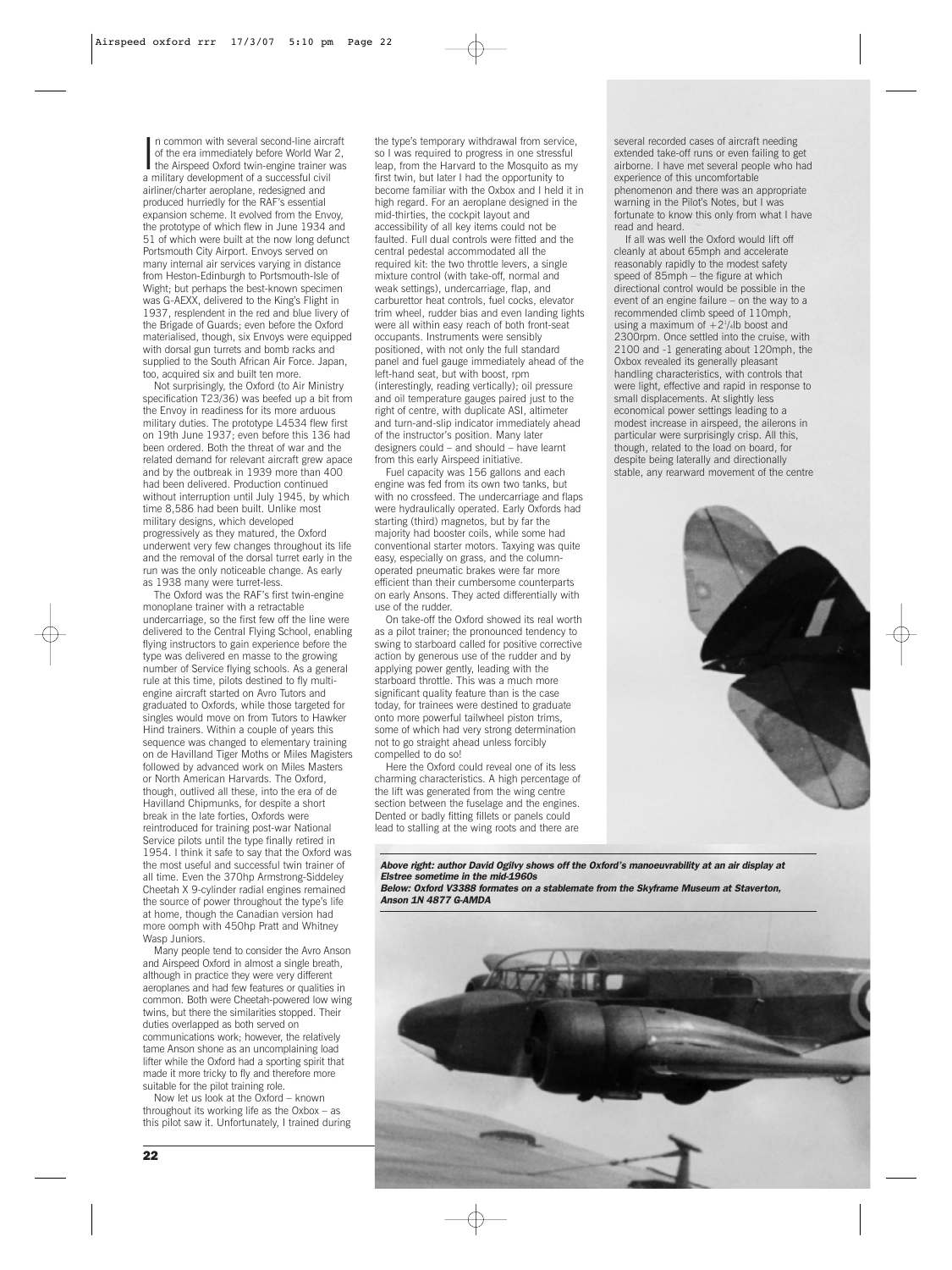In common with several second-line aircraft<br>of the era immediately before World War 2,<br>the Airspeed Oxford twin-engine trainer was<br>a military development of a supported pixel n common with several second-line aircraft of the era immediately before World War 2, a military development of a successful civil airliner/charter aeroplane, redesigned and produced hurriedly for the RAF's essential expansion scheme. It evolved from the Envoy, the prototype of which flew in June 1934 and 51 of which were built at the now long defunct Portsmouth City Airport. Envoys served on many internal air services varying in distance from Heston-Edinburgh to Portsmouth-Isle of Wight; but perhaps the best-known specimen was G-AEXX, delivered to the King's Flight in 1937, resplendent in the red and blue livery of the Brigade of Guards; even before the Oxford materialised, though, six Envoys were equipped with dorsal gun turrets and bomb racks and supplied to the South African Air Force. Japan, too, acquired six and built ten more.

Not surprisingly, the Oxford (to Air Ministry specification T23/36) was beefed up a bit from the Envoy in readiness for its more arduous military duties. The prototype L4534 flew first on 19th June 1937; even before this 136 had been ordered. Both the threat of war and the related demand for relevant aircraft grew apace and by the outbreak in 1939 more than 400 had been delivered. Production continued without interruption until July 1945, by which time 8,586 had been built. Unlike most military designs, which developed progressively as they matured, the Oxford underwent very few changes throughout its life and the removal of the dorsal turret early in the run was the only noticeable change. As early as 1938 many were turret-less.

The Oxford was the RAF's first twin-engine monoplane trainer with a retractable undercarriage, so the first few off the line were delivered to the Central Flying School, enabling flying instructors to gain experience before the type was delivered en masse to the growing number of Service flying schools. As a general rule at this time, pilots destined to fly multiengine aircraft started on Avro Tutors and graduated to Oxfords, while those targeted for singles would move on from Tutors to Hawker Hind trainers. Within a couple of years this sequence was changed to elementary training on de Havilland Tiger Moths or Miles Magisters followed by advanced work on Miles Masters or North American Harvards. The Oxford, though, outlived all these, into the era of de Havilland Chipmunks, for despite a short break in the late forties, Oxfords were reintroduced for training post-war National Service pilots until the type finally retired in 1954. I think it safe to say that the Oxford was the most useful and successful twin trainer of all time. Even the 370hp Armstrong-Siddeley Cheetah X 9-cylinder radial engines remained the source of power throughout the type's life at home, though the Canadian version had more oomph with 450hp Pratt and Whitney Wasp Juniors.

Many people tend to consider the Avro Anson and Airspeed Oxford in almost a single breath, although in practice they were very different aeroplanes and had few features or qualities in common. Both were Cheetah-powered low wing twins, but there the similarities stopped. Their duties overlapped as both served on communications work; however, the relatively tame Anson shone as an uncomplaining load lifter while the Oxford had a sporting spirit that made it more tricky to fly and therefore more suitable for the pilot training role.

Now let us look at the Oxford – known throughout its working life as the Oxbox – as this pilot saw it. Unfortunately, I trained during the type's temporary withdrawal from service, so I was required to progress in one stressful leap, from the Harvard to the Mosquito as my first twin, but later I had the opportunity to become familiar with the Oxbox and I held it in high regard. For an aeroplane designed in the mid-thirties, the cockpit layout and accessibility of all key items could not be faulted. Full dual controls were fitted and the central pedestal accommodated all the required kit: the two throttle levers, a single mixture control (with take-off, normal and weak settings), undercarriage, flap, and carburettor heat controls, fuel cocks, elevator trim wheel, rudder bias and even landing lights were all within easy reach of both front-seat occupants. Instruments were sensibly positioned, with not only the full standard panel and fuel gauge immediately ahead of the left-hand seat, but with boost, rpm (interestingly, reading vertically); oil pressure and oil temperature gauges paired just to the right of centre, with duplicate ASI, altimeter and turn-and-slip indicator immediately ahead of the instructor's position. Many later designers could – and should – have learnt from this early Airspeed initiative.

Fuel capacity was 156 gallons and each engine was fed from its own two tanks, but with no crossfeed. The undercarriage and flaps were hydraulically operated. Early Oxfords had starting (third) magnetos, but by far the majority had booster coils, while some had conventional starter motors. Taxying was quite easy, especially on grass, and the columnoperated pneumatic brakes were far more efficient than their cumbersome counterparts on early Ansons. They acted differentially with use of the rudder.

On take-off the Oxford showed its real worth as a pilot trainer; the pronounced tendency to swing to starboard called for positive corrective action by generous use of the rudder and by applying power gently, leading with the starboard throttle. This was a much more significant quality feature than is the case today, for trainees were destined to graduate onto more powerful tailwheel piston trims, some of which had very strong determination not to go straight ahead unless forcibly compelled to do so!

Here the Oxford could reveal one of its less charming characteristics. A high percentage of the lift was generated from the wing centre section between the fuselage and the engines. Dented or badly fitting fillets or panels could lead to stalling at the wing roots and there are several recorded cases of aircraft needing extended take-off runs or even failing to get airborne. I have met several people who had experience of this uncomfortable phenomenon and there was an appropriate warning in the Pilot's Notes, but I was fortunate to know this only from what I have read and heard.

If all was well the Oxford would lift off cleanly at about 65mph and accelerate reasonably rapidly to the modest safety speed of 85mph – the figure at which directional control would be possible in the event of an engine failure – on the way to a recommended climb speed of 110mph using a maximum of  $+2^{1}/4$ lb boost and 2300rpm. Once settled into the cruise, with 2100 and -1 generating about 120mph, the Oxbox revealed its generally pleasant handling characteristics, with controls that were light, effective and rapid in response to small displacements. At slightly less economical power settings leading to a modest increase in airspeed, the ailerons in particular were surprisingly crisp. All this, though, related to the load on board, for despite being laterally and directionally stable, any rearward movement of the centre



*Above right: author David Ogilvy shows off the Oxford's manoeuvrability at an air display at Elstree sometime in the mid-1960s*

*Below: Oxford V3388 formates on a stablemate from the Skyframe Museum at Staverton, Anson 1N 4877 G-AMDA*

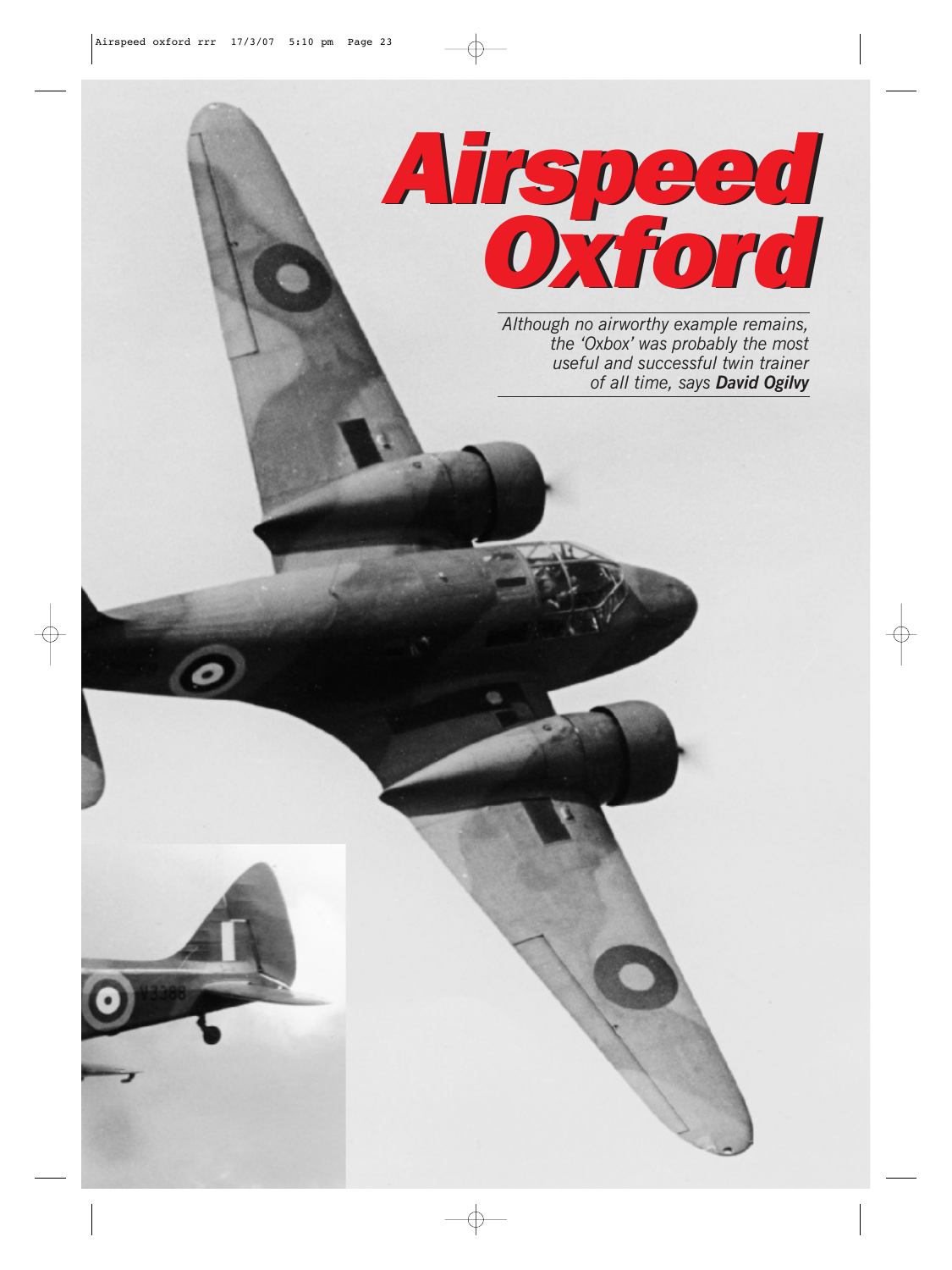

*Although no airworthy example remains, the 'Oxbox' was probably the most useful and successful twin trainer of all time, says David Ogilvy*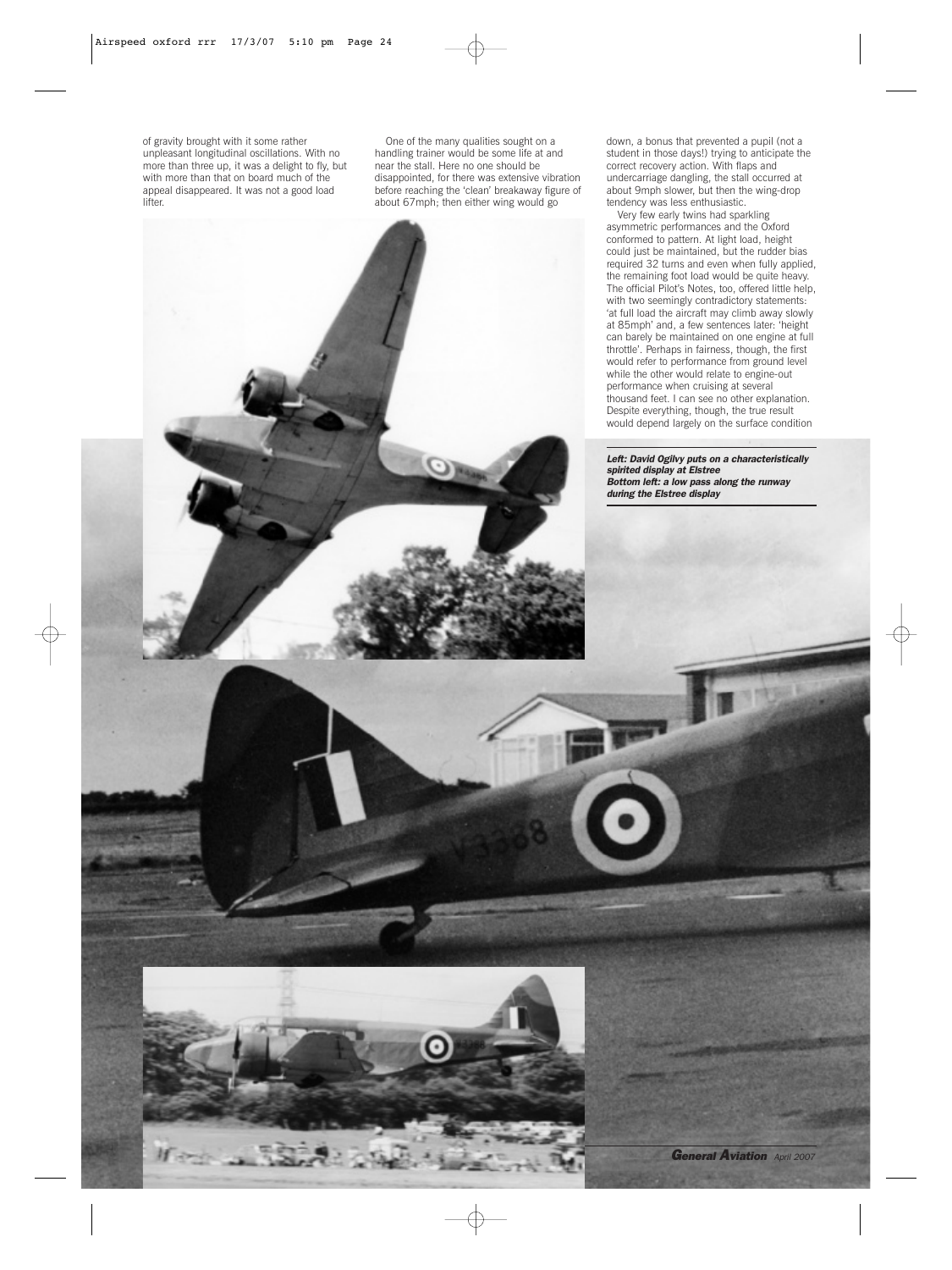

One of the many qualities sought on a handling trainer would be some life at and near the stall. Here no one should be disappointed, for there was extensive vibration before reaching the 'clean' breakaway figure of about 67mph; then either wing would go

**24 <b>General Aviation** *April 2007* 

down, a bonus that prevented a pupil (not a student in those days!) trying to anticipate the correct recovery action. With flaps and undercarriage dangling, the stall occurred at about 9mph slower, but then the wing-drop tendency was less enthusiastic.

Very few early twins had sparkling asymmetric performances and the Oxford conformed to pattern. At light load, height could just be maintained, but the rudder bias required 32 turns and even when fully applied, the remaining foot load would be quite heavy. The official Pilot's Notes, too, offered little help, with two seemingly contradictory statements: 'at full load the aircraft may climb away slowly at 85mph' and, a few sentences later: 'height can barely be maintained on one engine at full throttle'. Perhaps in fairness, though, the first would refer to performance from ground level while the other would relate to engine-out performance when cruising at several thousand feet. I can see no other explanation. Despite everything, though, the true result would depend largely on the surface condition

*Left: David Ogilvy puts on a characteristically spirited display at Elstree Bottom left: a low pass along the runway during the Elstree display*